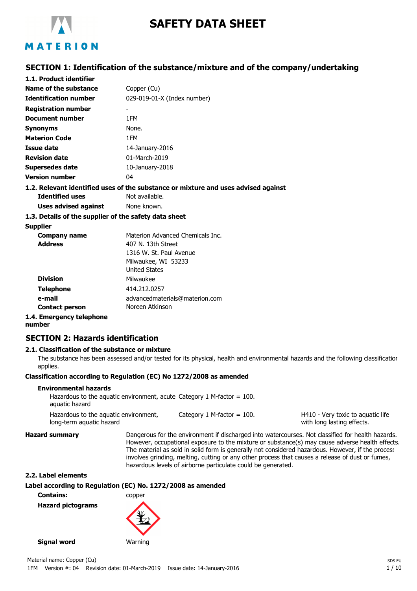

## **SAFETY DATA SHEET**

## **SECTION 1: Identification of the substance/mixture and of the company/undertaking**

| 1.1. Product identifier      |                                                                                 |
|------------------------------|---------------------------------------------------------------------------------|
| Name of the substance        | Copper (Cu)                                                                     |
| <b>Identification number</b> | 029-019-01-X (Index number)                                                     |
| <b>Registration number</b>   |                                                                                 |
| Document number              | 1FM                                                                             |
| <b>Synonyms</b>              | None.                                                                           |
| <b>Materion Code</b>         | 1FM                                                                             |
| Issue date                   | 14-January-2016                                                                 |
| <b>Revision date</b>         | 01-March-2019                                                                   |
| Supersedes date              | 10-January-2018                                                                 |
| <b>Version number</b>        | 04                                                                              |
|                              | 1.2 Relevant identified uses of the substance or mixture and uses advised again |

## **1.2. Relevant identified uses of the substance or mixture and uses advised against Identified uses** Not available.

**Uses advised against** None known.

#### **1.3. Details of the supplier of the safety data sheet**

#### **Supplier**

| <b>Company name</b>      | Materion Advanced Chemicals Inc. |
|--------------------------|----------------------------------|
| <b>Address</b>           | 407 N. 13th Street               |
|                          | 1316 W. St. Paul Avenue          |
|                          | Milwaukee, WI 53233              |
|                          | <b>United States</b>             |
| <b>Division</b>          | Milwaukee                        |
| <b>Telephone</b>         | 414.212.0257                     |
| e-mail                   | advancedmaterials@materion.com   |
| <b>Contact person</b>    | Noreen Atkinson                  |
| 1.4. Emergency telephone |                                  |

**number**

## **SECTION 2: Hazards identification**

## **2.1. Classification of the substance or mixture**

The substance has been assessed and/or tested for its physical, health and environmental hazards and the following classification applies.

## **Classification according to Regulation (EC) No 1272/2008 as amended**

#### **Environmental hazards**

| Hazardous to the aguatic environment, acute Category 1 M-factor $=$ 100. |                              |                                   |
|--------------------------------------------------------------------------|------------------------------|-----------------------------------|
| aquatic hazard                                                           |                              |                                   |
| Hazardous to the aguatic environment,                                    | Category 1 M-factor $=$ 100. | H410 - Very toxic to aguatic life |

long-term aquatic hazard

**Hazard summary** Dangerous for the environment if discharged into watercourses. Not classified for health hazards. However, occupational exposure to the mixture or substance(s) may cause adverse health effects. The material as sold in solid form is generally not considered hazardous. However, if the process involves grinding, melting, cutting or any other process that causes a release of dust or fumes, hazardous levels of airborne particulate could be generated.

with long lasting effects.

#### **2.2. Label elements**

## **Label according to Regulation (EC) No. 1272/2008 as amended**

**Contains:** copper **Hazard pictograms**



**Signal word Warning**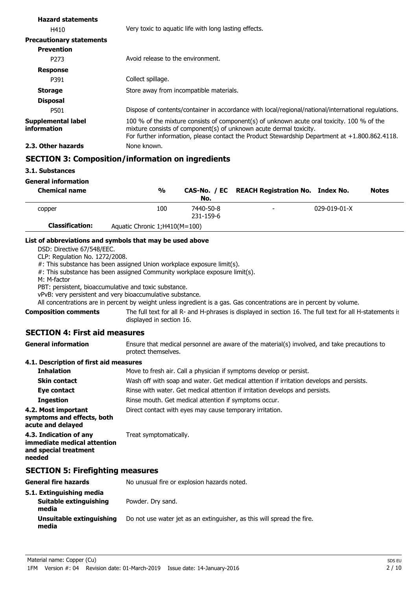| <b>Hazard statements</b>                 |                                                                                                                                                                                                                                                                       |
|------------------------------------------|-----------------------------------------------------------------------------------------------------------------------------------------------------------------------------------------------------------------------------------------------------------------------|
| H410                                     | Very toxic to aguatic life with long lasting effects.                                                                                                                                                                                                                 |
| <b>Precautionary statements</b>          |                                                                                                                                                                                                                                                                       |
| <b>Prevention</b>                        |                                                                                                                                                                                                                                                                       |
| P <sub>273</sub>                         | Avoid release to the environment.                                                                                                                                                                                                                                     |
| <b>Response</b>                          |                                                                                                                                                                                                                                                                       |
| P391                                     | Collect spillage.                                                                                                                                                                                                                                                     |
| <b>Storage</b>                           | Store away from incompatible materials.                                                                                                                                                                                                                               |
| <b>Disposal</b>                          |                                                                                                                                                                                                                                                                       |
| P501                                     | Dispose of contents/container in accordance with local/regional/national/international regulations.                                                                                                                                                                   |
| <b>Supplemental label</b><br>information | 100 % of the mixture consists of component(s) of unknown acute oral toxicity. 100 % of the<br>mixture consists of component(s) of unknown acute dermal toxicity.<br>For further information, please contact the Product Stewardship Department at $+1.800.862.4118$ . |
| 2.3. Other hazards                       | None known.                                                                                                                                                                                                                                                           |
|                                          | <b>SECTION 3: Composition/information on ingredients</b>                                                                                                                                                                                                              |

#### **3.1. Substances**

#### **General information**

| <b>Chemical name</b>   | $\frac{0}{0}$                  | No.                    | CAS-No. / EC REACH Registration No. Index No. |              | <b>Notes</b> |
|------------------------|--------------------------------|------------------------|-----------------------------------------------|--------------|--------------|
| copper                 | 100                            | 7440-50-8<br>231-159-6 | $\overline{\phantom{0}}$                      | 029-019-01-X |              |
| <b>Classification:</b> | Aquatic Chronic 1; H410(M=100) |                        |                                               |              |              |

#### **List of abbreviations and symbols that may be used above**

DSD: Directive 67/548/EEC.

CLP: Regulation No. 1272/2008.

#: This substance has been assigned Union workplace exposure limit(s).

#: This substance has been assigned Community workplace exposure limit(s).

M: M-factor

PBT: persistent, bioaccumulative and toxic substance.

vPvB: very persistent and very bioaccumulative substance.

All concentrations are in percent by weight unless ingredient is a gas. Gas concentrations are in percent by volume.

**Composition comments**

The full text for all R- and H-phrases is displayed in section 16. The full text for all H-statements is displayed in section 16.

## **SECTION 4: First aid measures**

|                     | protect themselves.                                                                          |
|---------------------|----------------------------------------------------------------------------------------------|
| General information | Ensure that medical personnel are aware of the material(s) involved, and take precautions to |

#### **4.1. Description of first aid measures**

| <b>Inhalation</b>                                                                        | Move to fresh air. Call a physician if symptoms develop or persist.                      |
|------------------------------------------------------------------------------------------|------------------------------------------------------------------------------------------|
| <b>Skin contact</b>                                                                      | Wash off with soap and water. Get medical attention if irritation develops and persists. |
| Eye contact                                                                              | Rinse with water. Get medical attention if irritation develops and persists.             |
| <b>Ingestion</b>                                                                         | Rinse mouth. Get medical attention if symptoms occur.                                    |
| 4.2. Most important<br>symptoms and effects, both<br>acute and delayed                   | Direct contact with eyes may cause temporary irritation.                                 |
| 4.3. Indication of any<br>immediate medical attention<br>and special treatment<br>needed | Treat symptomatically.                                                                   |
| <b>SECTION 5: Firefighting measures</b>                                                  |                                                                                          |

| General fire hazards                                        | No unusual fire or explosion hazards noted.                            |
|-------------------------------------------------------------|------------------------------------------------------------------------|
| 5.1. Extinguishing media<br>Suitable extinguishing<br>media | Powder. Dry sand.                                                      |
| Unsuitable extinguishing<br>media                           | Do not use water jet as an extinguisher, as this will spread the fire. |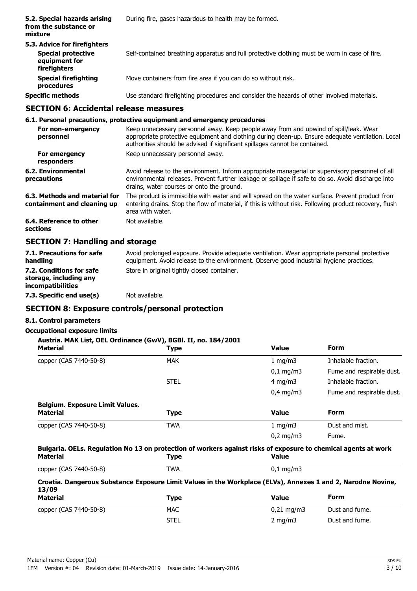| 5.2. Special hazards arising<br>from the substance or<br>mixture                           | During fire, gases hazardous to health may be formed.                                         |  |  |
|--------------------------------------------------------------------------------------------|-----------------------------------------------------------------------------------------------|--|--|
| 5.3. Advice for firefighters<br><b>Special protective</b><br>equipment for<br>firefighters | Self-contained breathing apparatus and full protective clothing must be worn in case of fire. |  |  |
| <b>Special firefighting</b><br>procedures                                                  | Move containers from fire area if you can do so without risk.                                 |  |  |
| <b>Specific methods</b>                                                                    | Use standard firefighting procedures and consider the hazards of other involved materials.    |  |  |

## **SECTION 6: Accidental release measures**

#### **6.1. Personal precautions, protective equipment and emergency procedures**

| For non-emergency<br>personnel                               | Keep unnecessary personnel away. Keep people away from and upwind of spill/leak. Wear<br>appropriate protective equipment and clothing during clean-up. Ensure adequate ventilation. Local<br>authorities should be advised if significant spillages cannot be contained. |
|--------------------------------------------------------------|---------------------------------------------------------------------------------------------------------------------------------------------------------------------------------------------------------------------------------------------------------------------------|
| For emergency<br>responders                                  | Keep unnecessary personnel away.                                                                                                                                                                                                                                          |
| 6.2. Environmental<br>precautions                            | Avoid release to the environment. Inform appropriate managerial or supervisory personnel of all<br>environmental releases. Prevent further leakage or spillage if safe to do so. Avoid discharge into<br>drains, water courses or onto the ground.                        |
| 6.3. Methods and material for<br>containment and cleaning up | The product is immiscible with water and will spread on the water surface. Prevent product from<br>entering drains. Stop the flow of material, if this is without risk. Following product recovery, flush<br>area with water.                                             |
| 6.4. Reference to other<br>sections                          | Not available.                                                                                                                                                                                                                                                            |
| CECTION 7. Hendling and stavega                              |                                                                                                                                                                                                                                                                           |

#### **SECTION 7: Handling and storage**

| 7.1. Precautions for safe<br>handling                                   | Avoid prolonged exposure. Provide adequate ventilation. Wear appropriate personal protective<br>equipment. Avoid release to the environment. Observe good industrial hygiene practices. |
|-------------------------------------------------------------------------|-----------------------------------------------------------------------------------------------------------------------------------------------------------------------------------------|
| 7.2. Conditions for safe<br>storage, including any<br>incompatibilities | Store in original tightly closed container.                                                                                                                                             |
| 7.3. Specific end use(s)                                                | Not available.                                                                                                                                                                          |

## **SECTION 8: Exposure controls/personal protection**

## **8.1. Control parameters**

## **Occupational exposure limits**

## **Austria. MAK List, OEL Ordinance (GwV), BGBl. II, no. 184/2001**

| <b>Material</b>                                                                                                                   | <b>Type</b> | <b>Value</b>       | <b>Form</b>               |
|-----------------------------------------------------------------------------------------------------------------------------------|-------------|--------------------|---------------------------|
| copper (CAS 7440-50-8)                                                                                                            | <b>MAK</b>  | 1 $mq/m3$          | Inhalable fraction.       |
|                                                                                                                                   |             | $0,1 \text{ mg/m}$ | Fume and respirable dust. |
|                                                                                                                                   | <b>STEL</b> | 4 mg/m $3$         | Inhalable fraction.       |
|                                                                                                                                   |             | $0,4$ mg/m3        | Fume and respirable dust. |
| <b>Belgium. Exposure Limit Values.</b><br><b>Material</b>                                                                         | <b>Type</b> | <b>Value</b>       | <b>Form</b>               |
| copper (CAS 7440-50-8)                                                                                                            | <b>TWA</b>  | 1 $mq/m3$          | Dust and mist.            |
|                                                                                                                                   |             | $0,2 \text{ mg/m}$ | Fume.                     |
| Bulgaria. OELs. Regulation No 13 on protection of workers against risks of exposure to chemical agents at work<br><b>Material</b> | <b>Type</b> | <b>Value</b>       |                           |
| copper (CAS 7440-50-8)                                                                                                            | TWA         | $0,1$ mg/m3        |                           |
| Croatia. Dangerous Substance Exposure Limit Values in the Workplace (ELVs), Annexes 1 and 2, Narodne Novine,<br>12 IAN            |             |                    |                           |

| <b>13/09</b><br><b>Material</b> | <b>Type</b> | <b>Value</b>        | Form           |  |
|---------------------------------|-------------|---------------------|----------------|--|
| copper (CAS 7440-50-8)          | <b>MAC</b>  | $0.21 \text{ mg/m}$ | Dust and fume. |  |
|                                 | STEL        | 2 mg/m $3$          | Dust and fume. |  |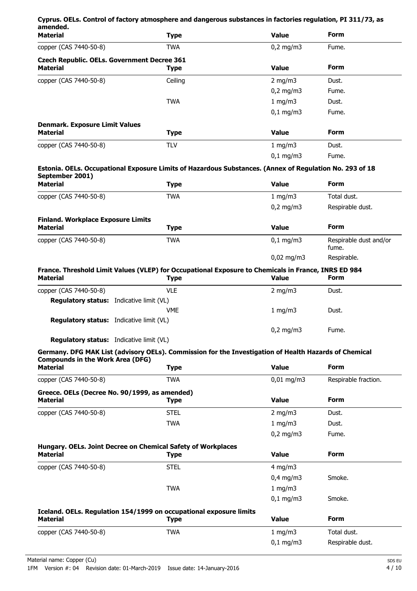|                                                                                 | Cyprus. OELs. Control of factory atmosphere and dangerous substances in factories regulation, PI 311/73, as        |                       |                                 |
|---------------------------------------------------------------------------------|--------------------------------------------------------------------------------------------------------------------|-----------------------|---------------------------------|
| amended.<br><b>Material</b>                                                     | <b>Type</b>                                                                                                        | <b>Value</b>          | <b>Form</b>                     |
| copper (CAS 7440-50-8)                                                          | <b>TWA</b>                                                                                                         | $0,2$ mg/m3           | Fume.                           |
| <b>Czech Republic. OELs. Government Decree 361</b><br><b>Material</b>           | <b>Type</b>                                                                                                        | <b>Value</b>          | <b>Form</b>                     |
| copper (CAS 7440-50-8)                                                          | Ceiling                                                                                                            | 2 mg/m $3$            | Dust.                           |
|                                                                                 |                                                                                                                    | $0,2$ mg/m $3$        | Fume.                           |
|                                                                                 | <b>TWA</b>                                                                                                         | $1$ mg/m $3$          | Dust.                           |
|                                                                                 |                                                                                                                    | $0,1$ mg/m3           | Fume.                           |
| <b>Denmark. Exposure Limit Values</b>                                           |                                                                                                                    |                       |                                 |
| <b>Material</b>                                                                 | <b>Type</b>                                                                                                        | <b>Value</b>          | <b>Form</b>                     |
| copper (CAS 7440-50-8)                                                          | <b>TLV</b>                                                                                                         | 1 mg/m3               | Dust.                           |
|                                                                                 |                                                                                                                    | $0,1$ mg/m3           | Fume.                           |
| September 2001)                                                                 | Estonia. OELs. Occupational Exposure Limits of Hazardous Substances. (Annex of Regulation No. 293 of 18            |                       |                                 |
| <b>Material</b>                                                                 | <b>Type</b>                                                                                                        | <b>Value</b>          | <b>Form</b>                     |
| copper (CAS 7440-50-8)                                                          | <b>TWA</b>                                                                                                         | 1 mg/m3               | Total dust.                     |
|                                                                                 |                                                                                                                    | $0,2$ mg/m3           | Respirable dust.                |
| <b>Finland. Workplace Exposure Limits</b><br><b>Material</b>                    | <b>Type</b>                                                                                                        | <b>Value</b>          | <b>Form</b>                     |
| copper (CAS 7440-50-8)                                                          | <b>TWA</b>                                                                                                         | $0,1$ mg/m3           | Respirable dust and/or<br>fume. |
|                                                                                 |                                                                                                                    | $0,02$ mg/m3          | Respirable.                     |
| <b>Material</b>                                                                 | France. Threshold Limit Values (VLEP) for Occupational Exposure to Chemicals in France, INRS ED 984<br><b>Type</b> | <b>Value</b>          | <b>Form</b>                     |
| copper (CAS 7440-50-8)                                                          | <b>VLE</b>                                                                                                         | 2 mg/m $3$            | Dust.                           |
| <b>Regulatory status:</b> Indicative limit (VL)                                 |                                                                                                                    |                       |                                 |
|                                                                                 | <b>VME</b>                                                                                                         | 1 mg/m3               | Dust.                           |
| <b>Regulatory status:</b> Indicative limit (VL)                                 |                                                                                                                    |                       |                                 |
|                                                                                 |                                                                                                                    | $0,2$ mg/m3           | Fume.                           |
| Regulatory status: Indicative limit (VL)                                        | Germany. DFG MAK List (advisory OELs). Commission for the Investigation of Health Hazards of Chemical              |                       |                                 |
| <b>Compounds in the Work Area (DFG)</b>                                         |                                                                                                                    |                       |                                 |
| <b>Material</b>                                                                 | <b>Type</b>                                                                                                        | <b>Value</b>          | <b>Form</b>                     |
| copper (CAS 7440-50-8)                                                          | <b>TWA</b>                                                                                                         | $0.01 \text{ mg/m}$ 3 | Respirable fraction.            |
| Greece. OELs (Decree No. 90/1999, as amended)<br><b>Material</b>                | <b>Type</b>                                                                                                        | <b>Value</b>          | <b>Form</b>                     |
| copper (CAS 7440-50-8)                                                          | <b>STEL</b>                                                                                                        | 2 mg/m $3$            | Dust.                           |
|                                                                                 | <b>TWA</b>                                                                                                         | 1 mg/m $3$            | Dust.                           |
|                                                                                 |                                                                                                                    | $0,2$ mg/m3           | Fume.                           |
| Hungary. OELs. Joint Decree on Chemical Safety of Workplaces<br><b>Material</b> | <b>Type</b>                                                                                                        | <b>Value</b>          | <b>Form</b>                     |
| copper (CAS 7440-50-8)                                                          | <b>STEL</b>                                                                                                        | 4 mg/m $3$            |                                 |
|                                                                                 |                                                                                                                    | $0,4$ mg/m3           | Smoke.                          |
|                                                                                 | <b>TWA</b>                                                                                                         | 1 mg/m3               |                                 |
|                                                                                 |                                                                                                                    | $0,1$ mg/m3           | Smoke.                          |
|                                                                                 | Iceland. OELs. Regulation 154/1999 on occupational exposure limits                                                 |                       |                                 |
| <b>Material</b>                                                                 | <b>Type</b>                                                                                                        | <b>Value</b>          | <b>Form</b>                     |
| copper (CAS 7440-50-8)                                                          | <b>TWA</b>                                                                                                         | 1 mg/m3               | Total dust.                     |
|                                                                                 |                                                                                                                    | $0,1$ mg/m3           | Respirable dust.                |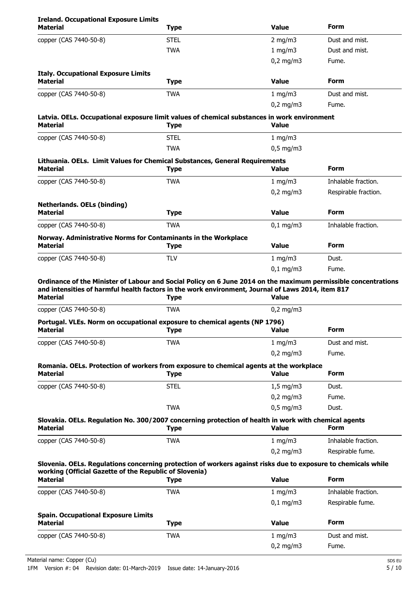| <b>Ireland. Occupational Exposure Limits</b><br><b>Material</b>                                                         | <b>Type</b> | <b>Value</b>   | Form                 |
|-------------------------------------------------------------------------------------------------------------------------|-------------|----------------|----------------------|
| copper (CAS 7440-50-8)                                                                                                  | <b>STEL</b> | $2$ mg/m $3$   | Dust and mist.       |
|                                                                                                                         | <b>TWA</b>  | 1 mg/m3        | Dust and mist.       |
|                                                                                                                         |             | $0,2$ mg/m3    | Fume.                |
| <b>Italy. Occupational Exposure Limits</b>                                                                              |             |                |                      |
| <b>Material</b>                                                                                                         | <b>Type</b> | <b>Value</b>   | Form                 |
| copper (CAS 7440-50-8)                                                                                                  | <b>TWA</b>  | $1$ mg/m $3$   | Dust and mist.       |
|                                                                                                                         |             | $0,2$ mg/m $3$ | Fume.                |
| Latvia. OELs. Occupational exposure limit values of chemical substances in work environment<br><b>Material</b>          | <b>Type</b> | <b>Value</b>   |                      |
| copper (CAS 7440-50-8)                                                                                                  | <b>STEL</b> | 1 mg/m3        |                      |
|                                                                                                                         | <b>TWA</b>  | $0,5$ mg/m3    |                      |
| Lithuania. OELs. Limit Values for Chemical Substances, General Requirements<br><b>Material</b>                          | <b>Type</b> | <b>Value</b>   | Form                 |
| copper (CAS 7440-50-8)                                                                                                  | <b>TWA</b>  | 1 mg/m3        | Inhalable fraction.  |
|                                                                                                                         |             | $0,2$ mg/m3    | Respirable fraction. |
| <b>Netherlands. OELs (binding)</b>                                                                                      |             |                |                      |
| <b>Material</b>                                                                                                         | <b>Type</b> | <b>Value</b>   | <b>Form</b>          |
| copper (CAS 7440-50-8)                                                                                                  | <b>TWA</b>  | $0,1$ mg/m3    | Inhalable fraction.  |
| Norway. Administrative Norms for Contaminants in the Workplace<br><b>Material</b>                                       | <b>Type</b> | <b>Value</b>   | <b>Form</b>          |
| copper (CAS 7440-50-8)                                                                                                  | <b>TLV</b>  | 1 mg/m3        | Dust.                |
|                                                                                                                         |             | $0,1$ mg/m3    | Fume.                |
| Ordinance of the Minister of Labour and Social Policy on 6 June 2014 on the maximum permissible concentrations          |             |                |                      |
| and intensities of harmful health factors in the work environment, Journal of Laws 2014, item 817                       |             |                |                      |
| <b>Material</b>                                                                                                         | <b>Type</b> | <b>Value</b>   |                      |
| copper (CAS 7440-50-8)                                                                                                  | <b>TWA</b>  | $0,2$ mg/m3    |                      |
| Portugal. VLEs. Norm on occupational exposure to chemical agents (NP 1796)                                              |             |                |                      |
| <b>Material</b>                                                                                                         | <b>Type</b> | <b>Value</b>   | Form                 |
| copper (CAS 7440-50-8)                                                                                                  | <b>TWA</b>  | 1 mg/m3        | Dust and mist.       |
|                                                                                                                         |             | $0,2$ mg/m3    | Fume.                |
| Romania. OELs. Protection of workers from exposure to chemical agents at the workplace                                  |             |                |                      |
| <b>Material</b>                                                                                                         | <b>Type</b> | <b>Value</b>   | <b>Form</b>          |
| copper (CAS 7440-50-8)                                                                                                  | <b>STEL</b> | $1,5$ mg/m3    | Dust.                |
|                                                                                                                         |             | $0,2$ mg/m3    | Fume.                |
|                                                                                                                         | <b>TWA</b>  | $0,5$ mg/m3    | Dust.                |
| Slovakia. OELs. Regulation No. 300/2007 concerning protection of health in work with chemical agents<br><b>Material</b> | <b>Type</b> | <b>Value</b>   | Form                 |
| copper (CAS 7440-50-8)                                                                                                  | <b>TWA</b>  | 1 mg/m3        | Inhalable fraction.  |
|                                                                                                                         |             | $0,2$ mg/m3    | Respirable fume.     |
| Slovenia. OELs. Regulations concerning protection of workers against risks due to exposure to chemicals while           |             |                |                      |
| working (Official Gazette of the Republic of Slovenia)                                                                  |             | <b>Value</b>   | <b>Form</b>          |
| <b>Material</b>                                                                                                         | <b>Type</b> |                |                      |
| copper (CAS 7440-50-8)                                                                                                  | <b>TWA</b>  | 1 mg/m3        | Inhalable fraction.  |
|                                                                                                                         |             | $0,1$ mg/m3    | Respirable fume.     |
| <b>Spain. Occupational Exposure Limits</b><br><b>Material</b>                                                           |             | <b>Value</b>   | Form                 |
|                                                                                                                         | <b>Type</b> |                |                      |
| copper (CAS 7440-50-8)                                                                                                  | <b>TWA</b>  | 1 mg/m3        | Dust and mist.       |
|                                                                                                                         |             | $0,2$ mg/m3    | Fume.                |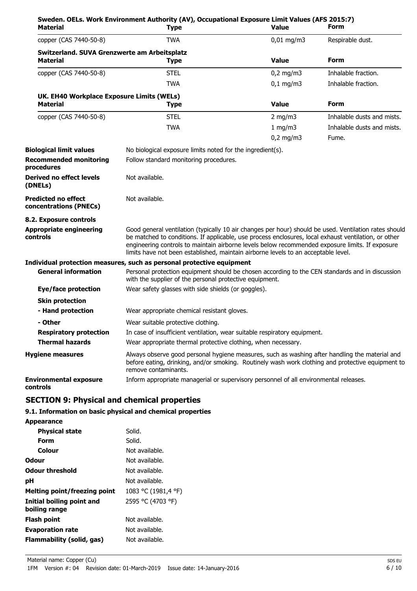| Material                                             | Sweden. OELs. Work Environment Authority (AV), Occupational Exposure Limit Values (AFS 2015:7)<br><b>Type</b>                                                                                                                                                                                                                                                                                          | <b>Value</b>                           | Form                       |  |
|------------------------------------------------------|--------------------------------------------------------------------------------------------------------------------------------------------------------------------------------------------------------------------------------------------------------------------------------------------------------------------------------------------------------------------------------------------------------|----------------------------------------|----------------------------|--|
| copper (CAS 7440-50-8)                               | <b>TWA</b>                                                                                                                                                                                                                                                                                                                                                                                             | $0,01$ mg/m3                           | Respirable dust.           |  |
| Switzerland. SUVA Grenzwerte am Arbeitsplatz         |                                                                                                                                                                                                                                                                                                                                                                                                        |                                        |                            |  |
| <b>Material</b>                                      | <b>Type</b>                                                                                                                                                                                                                                                                                                                                                                                            | <b>Value</b>                           | <b>Form</b>                |  |
| copper (CAS 7440-50-8)                               | <b>STEL</b>                                                                                                                                                                                                                                                                                                                                                                                            | $0,2$ mg/m3                            | Inhalable fraction.        |  |
|                                                      | TWA                                                                                                                                                                                                                                                                                                                                                                                                    | $0,1$ mg/m3                            | Inhalable fraction.        |  |
| UK. EH40 Workplace Exposure Limits (WELs)            |                                                                                                                                                                                                                                                                                                                                                                                                        |                                        |                            |  |
| <b>Material</b>                                      | <b>Type</b>                                                                                                                                                                                                                                                                                                                                                                                            | <b>Value</b>                           | <b>Form</b>                |  |
| copper (CAS 7440-50-8)                               | <b>STEL</b>                                                                                                                                                                                                                                                                                                                                                                                            | $2$ mg/m $3$                           | Inhalable dusts and mists. |  |
|                                                      | <b>TWA</b>                                                                                                                                                                                                                                                                                                                                                                                             | 1 mg/m3                                | Inhalable dusts and mists. |  |
|                                                      |                                                                                                                                                                                                                                                                                                                                                                                                        | $0,2$ mg/m3                            | Fume.                      |  |
| <b>Biological limit values</b>                       | No biological exposure limits noted for the ingredient(s).                                                                                                                                                                                                                                                                                                                                             |                                        |                            |  |
| <b>Recommended monitoring</b><br>procedures          |                                                                                                                                                                                                                                                                                                                                                                                                        | Follow standard monitoring procedures. |                            |  |
| <b>Derived no effect levels</b><br>(DNELs)           | Not available.                                                                                                                                                                                                                                                                                                                                                                                         |                                        |                            |  |
| <b>Predicted no effect</b><br>concentrations (PNECs) | Not available.                                                                                                                                                                                                                                                                                                                                                                                         |                                        |                            |  |
| 8.2. Exposure controls                               |                                                                                                                                                                                                                                                                                                                                                                                                        |                                        |                            |  |
| <b>Appropriate engineering</b><br>controls           | Good general ventilation (typically 10 air changes per hour) should be used. Ventilation rates should<br>be matched to conditions. If applicable, use process enclosures, local exhaust ventilation, or other<br>engineering controls to maintain airborne levels below recommended exposure limits. If exposure<br>limits have not been established, maintain airborne levels to an acceptable level. |                                        |                            |  |
|                                                      | Individual protection measures, such as personal protective equipment                                                                                                                                                                                                                                                                                                                                  |                                        |                            |  |
| <b>General information</b>                           | Personal protection equipment should be chosen according to the CEN standards and in discussion<br>with the supplier of the personal protective equipment.                                                                                                                                                                                                                                             |                                        |                            |  |
| <b>Eye/face protection</b>                           | Wear safety glasses with side shields (or goggles).                                                                                                                                                                                                                                                                                                                                                    |                                        |                            |  |
| <b>Skin protection</b>                               |                                                                                                                                                                                                                                                                                                                                                                                                        |                                        |                            |  |
| - Hand protection                                    | Wear appropriate chemical resistant gloves.                                                                                                                                                                                                                                                                                                                                                            |                                        |                            |  |
| - Other                                              | Wear suitable protective clothing.                                                                                                                                                                                                                                                                                                                                                                     |                                        |                            |  |
| <b>Respiratory protection</b>                        | In case of insufficient ventilation, wear suitable respiratory equipment.                                                                                                                                                                                                                                                                                                                              |                                        |                            |  |
| <b>Thermal hazards</b>                               | Wear appropriate thermal protective clothing, when necessary.                                                                                                                                                                                                                                                                                                                                          |                                        |                            |  |
| <b>Hygiene measures</b>                              | Always observe good personal hygiene measures, such as washing after handling the material and<br>before eating, drinking, and/or smoking. Routinely wash work clothing and protective equipment to<br>remove contaminants.                                                                                                                                                                            |                                        |                            |  |
| <b>Environmental exposure</b><br>controls            | Inform appropriate managerial or supervisory personnel of all environmental releases.                                                                                                                                                                                                                                                                                                                  |                                        |                            |  |

## **SECTION 9: Physical and chemical properties**

## **9.1. Information on basic physical and chemical properties**

| Appearance                                 |                     |
|--------------------------------------------|---------------------|
| <b>Physical state</b>                      | Solid.              |
| Form                                       | Solid.              |
| Colour                                     | Not available.      |
| Odour                                      | Not available.      |
| <b>Odour threshold</b>                     | Not available.      |
| рH                                         | Not available.      |
| <b>Melting point/freezing point</b>        | 1083 °C (1981,4 °F) |
| Initial boiling point and<br>boiling range | 2595 °C (4703 °F)   |
| Flash point                                | Not available.      |
| <b>Evaporation rate</b>                    | Not available.      |
| Flammability (solid, gas)                  | Not available.      |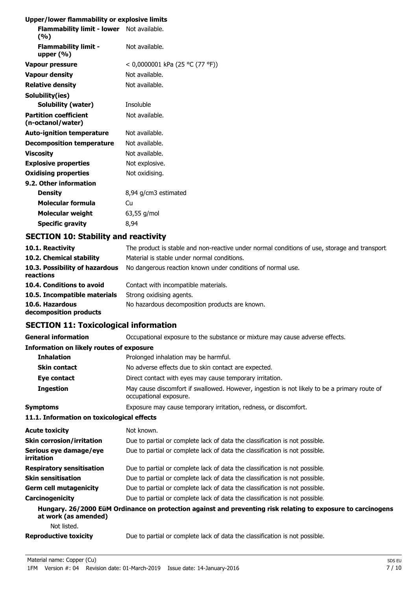## **Upper/lower flammability or explosive limits**

| Flammability limit - lower Not available.<br>(%)  |                                 |
|---------------------------------------------------|---------------------------------|
| <b>Flammability limit -</b><br>upper $(\%)$       | Not available.                  |
| Vapour pressure                                   | < 0,0000001 kPa (25 °C (77 °F)) |
| <b>Vapour density</b>                             | Not available.                  |
| <b>Relative density</b>                           | Not available.                  |
| Solubility(ies)                                   |                                 |
| Solubility (water)                                | Insoluble                       |
| <b>Partition coefficient</b><br>(n-octanol/water) | Not available.                  |
| <b>Auto-ignition temperature</b>                  | Not available.                  |
| <b>Decomposition temperature</b>                  | Not available.                  |
| Viscosity                                         | Not available.                  |
| <b>Explosive properties</b>                       | Not explosive.                  |
| <b>Oxidising properties</b>                       | Not oxidising.                  |
| 9.2. Other information                            |                                 |
| <b>Density</b>                                    | 8,94 g/cm3 estimated            |
| Molecular formula                                 | Cu                              |
| <b>Molecular weight</b>                           | $63,55$ g/mol                   |
| <b>Specific gravity</b>                           | 8,94                            |
|                                                   |                                 |

## **SECTION 10: Stability and reactivity**

| 10.1. Reactivity<br>10.2. Chemical stability | The product is stable and non-reactive under normal conditions of use, storage and transport<br>Material is stable under normal conditions. |
|----------------------------------------------|---------------------------------------------------------------------------------------------------------------------------------------------|
| 10.3. Possibility of hazardous<br>reactions  | No dangerous reaction known under conditions of normal use.                                                                                 |
| 10.4. Conditions to avoid                    | Contact with incompatible materials.                                                                                                        |
| 10.5. Incompatible materials                 | Strong oxidising agents.                                                                                                                    |
| 10.6. Hazardous<br>decomposition products    | No hazardous decomposition products are known.                                                                                              |

## **SECTION 11: Toxicological information**

| <b>General information</b>                      | Occupational exposure to the substance or mixture may cause adverse effects.                                           |
|-------------------------------------------------|------------------------------------------------------------------------------------------------------------------------|
| <b>Information on likely routes of exposure</b> |                                                                                                                        |
| <b>Inhalation</b>                               | Prolonged inhalation may be harmful.                                                                                   |
| <b>Skin contact</b>                             | No adverse effects due to skin contact are expected.                                                                   |
| Eye contact                                     | Direct contact with eyes may cause temporary irritation.                                                               |
| <b>Ingestion</b>                                | May cause discomfort if swallowed. However, ingestion is not likely to be a primary route of<br>occupational exposure. |
| <b>Symptoms</b>                                 | Exposure may cause temporary irritation, redness, or discomfort.                                                       |
| 11.1. Information on toxicological effects      |                                                                                                                        |
| <b>Acute toxicity</b>                           | Not known.                                                                                                             |
| <b>Skin corrosion/irritation</b>                | Due to partial or complete lack of data the classification is not possible.                                            |
| Serious eye damage/eye<br>irritation            | Due to partial or complete lack of data the classification is not possible.                                            |
| <b>Respiratory sensitisation</b>                | Due to partial or complete lack of data the classification is not possible.                                            |
| <b>Skin sensitisation</b>                       | Due to partial or complete lack of data the classification is not possible.                                            |
| <b>Germ cell mutagenicity</b>                   | Due to partial or complete lack of data the classification is not possible.                                            |
| Carcinogenicity                                 | Due to partial or complete lack of data the classification is not possible.                                            |
| at work (as amended)                            | Hungary. 26/2000 EüM Ordinance on protection against and preventing risk relating to exposure to carcinogens           |
| Not listed.                                     |                                                                                                                        |
| <b>Reproductive toxicity</b>                    | Due to partial or complete lack of data the classification is not possible.                                            |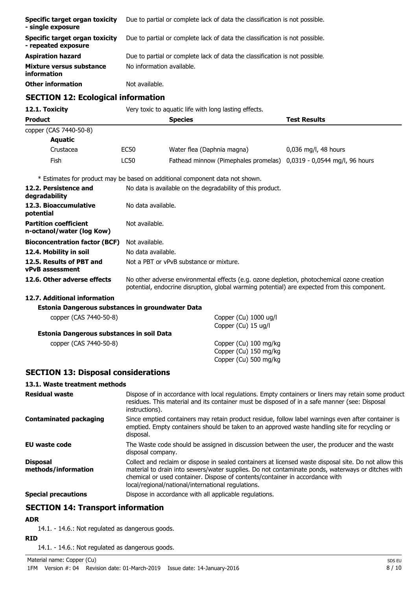| Specific target organ toxicity<br>- single exposure   | Due to partial or complete lack of data the classification is not possible. |
|-------------------------------------------------------|-----------------------------------------------------------------------------|
| Specific target organ toxicity<br>- repeated exposure | Due to partial or complete lack of data the classification is not possible. |
| <b>Aspiration hazard</b>                              | Due to partial or complete lack of data the classification is not possible. |
| Mixture versus substance<br>information               | No information available.                                                   |
| <b>Other information</b>                              | Not available.                                                              |

## **SECTION 12: Ecological information**

| 12.1. Toxicity                                            | Very toxic to aquatic life with long lasting effects.                                                                                                                                                                  |                                                                              |                      |  |
|-----------------------------------------------------------|------------------------------------------------------------------------------------------------------------------------------------------------------------------------------------------------------------------------|------------------------------------------------------------------------------|----------------------|--|
| <b>Product</b>                                            |                                                                                                                                                                                                                        | <b>Species</b>                                                               | <b>Test Results</b>  |  |
| copper (CAS 7440-50-8)                                    |                                                                                                                                                                                                                        |                                                                              |                      |  |
| <b>Aquatic</b>                                            |                                                                                                                                                                                                                        |                                                                              |                      |  |
| Crustacea                                                 | <b>EC50</b>                                                                                                                                                                                                            | Water flea (Daphnia magna)                                                   | 0,036 mg/l, 48 hours |  |
| Fish                                                      | <b>LC50</b>                                                                                                                                                                                                            | Fathead minnow (Pimephales promelas) 0,0319 - 0,0544 mg/l, 96 hours          |                      |  |
|                                                           |                                                                                                                                                                                                                        | * Estimates for product may be based on additional component data not shown. |                      |  |
| 12.2. Persistence and<br>degradability                    |                                                                                                                                                                                                                        | No data is available on the degradability of this product.                   |                      |  |
| 12.3. Bioaccumulative<br>potential                        |                                                                                                                                                                                                                        | No data available.                                                           |                      |  |
| <b>Partition coefficient</b><br>n-octanol/water (log Kow) | Not available.                                                                                                                                                                                                         |                                                                              |                      |  |
| <b>Bioconcentration factor (BCF)</b>                      | Not available.                                                                                                                                                                                                         |                                                                              |                      |  |
| 12.4. Mobility in soil                                    |                                                                                                                                                                                                                        | No data available.                                                           |                      |  |
| 12.5. Results of PBT and<br>vPvB assessment               |                                                                                                                                                                                                                        | Not a PBT or yPvB substance or mixture.                                      |                      |  |
| 12.6. Other adverse effects                               | No other adverse environmental effects (e.g. ozone depletion, photochemical ozone creation<br>potential, endocrine disruption, global warming potential) are expected from this component.                             |                                                                              |                      |  |
| 12.7. Additional information                              |                                                                                                                                                                                                                        |                                                                              |                      |  |
| Estonia Dangerous substances in groundwater Data          |                                                                                                                                                                                                                        |                                                                              |                      |  |
| copper (CAS 7440-50-8)                                    | Copper (Cu) 1000 ug/l<br>Copper (Cu) 15 ug/l                                                                                                                                                                           |                                                                              |                      |  |
| Estonia Dangerous substances in soil Data                 |                                                                                                                                                                                                                        |                                                                              |                      |  |
| copper (CAS 7440-50-8)                                    |                                                                                                                                                                                                                        | Copper (Cu) 100 mg/kg<br>Copper (Cu) 150 mg/kg<br>Copper (Cu) 500 mg/kg      |                      |  |
| <b>SECTION 13: Disposal considerations</b>                |                                                                                                                                                                                                                        |                                                                              |                      |  |
| 13.1. Waste treatment methods                             |                                                                                                                                                                                                                        |                                                                              |                      |  |
| <b>Residual waste</b>                                     | Dispose of in accordance with local regulations. Empty containers or liners may retain some product<br>residues. This material and its container must be disposed of in a safe manner (see: Disposal<br>instructions). |                                                                              |                      |  |
| <b>Contaminated packaging</b>                             | Since emptied containers may retain product residue, follow label warnings even after container is<br>emptied. Empty containers should be taken to an approved waste handling site for recycling or<br>disposal.       |                                                                              |                      |  |

**EU waste code** The Waste code should be assigned in discussion between the user, the producer and the waste disposal company. Collect and reclaim or dispose in sealed containers at licensed waste disposal site. Do not allow this material to drain into sewers/water supplies. Do not contaminate ponds, waterways or ditches with chemical or used container. Dispose of contents/container in accordance with **Disposal methods/information**

**Special precautions** Dispose in accordance with all applicable regulations.

local/regional/national/international regulations.

## **SECTION 14: Transport information**

#### **ADR**

14.1. - 14.6.: Not regulated as dangerous goods.

# **RID**

14.1. - 14.6.: Not regulated as dangerous goods.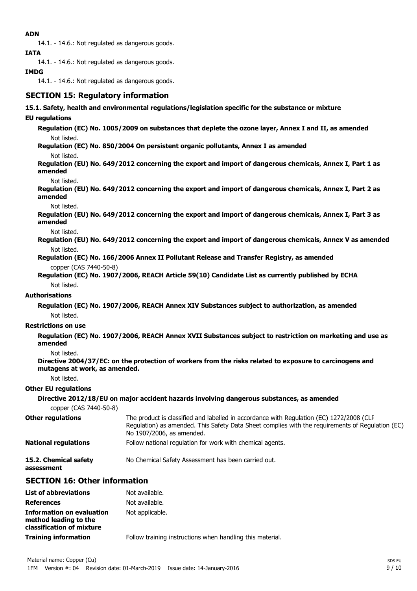## **ADN**

14.1. - 14.6.: Not regulated as dangerous goods.

**IATA**

14.1. - 14.6.: Not regulated as dangerous goods.

## **IMDG**

14.1. - 14.6.: Not regulated as dangerous goods.

## **SECTION 15: Regulatory information**

#### **15.1. Safety, health and environmental regulations/legislation specific for the substance or mixture**

#### **EU regulations**

**Regulation (EC) No. 1005/2009 on substances that deplete the ozone layer, Annex I and II, as amended** Not listed.

**Regulation (EC) No. 850/2004 On persistent organic pollutants, Annex I as amended**

Not listed.

**Regulation (EU) No. 649/2012 concerning the export and import of dangerous chemicals, Annex I, Part 1 as amended**

Not listed.

**Regulation (EU) No. 649/2012 concerning the export and import of dangerous chemicals, Annex I, Part 2 as amended**

Not listed.

**Regulation (EU) No. 649/2012 concerning the export and import of dangerous chemicals, Annex I, Part 3 as amended**

Not listed.

**Regulation (EU) No. 649/2012 concerning the export and import of dangerous chemicals, Annex V as amended** Not listed.

**Regulation (EC) No. 166/2006 Annex II Pollutant Release and Transfer Registry, as amended** copper (CAS 7440-50-8)

**Regulation (EC) No. 1907/2006, REACH Article 59(10) Candidate List as currently published by ECHA** Not listed.

## **Authorisations**

**Regulation (EC) No. 1907/2006, REACH Annex XIV Substances subject to authorization, as amended** Not listed.

## **Restrictions on use**

**Regulation (EC) No. 1907/2006, REACH Annex XVII Substances subject to restriction on marketing and use as amended**

Not listed.

**Directive 2004/37/EC: on the protection of workers from the risks related to exposure to carcinogens and mutagens at work, as amended.**

Not listed.

#### **Other EU regulations**

**Directive 2012/18/EU on major accident hazards involving dangerous substances, as amended** copper (CAS 7440-50-8)

| <b>Other regulations</b>            | The product is classified and labelled in accordance with Regulation (EC) 1272/2008 (CLP<br>Regulation) as amended. This Safety Data Sheet complies with the requirements of Regulation (EC)<br>No 1907/2006, as amended. |
|-------------------------------------|---------------------------------------------------------------------------------------------------------------------------------------------------------------------------------------------------------------------------|
| <b>National regulations</b>         | Follow national regulation for work with chemical agents.                                                                                                                                                                 |
| 15.2. Chemical safety<br>assessment | No Chemical Safety Assessment has been carried out.                                                                                                                                                                       |

## **SECTION 16: Other information**

| <b>List of abbreviations</b>                                                           | Not available.                                            |
|----------------------------------------------------------------------------------------|-----------------------------------------------------------|
| <b>References</b>                                                                      | Not available.                                            |
| <b>Information on evaluation</b><br>method leading to the<br>classification of mixture | Not applicable.                                           |
| <b>Training information</b>                                                            | Follow training instructions when handling this material. |